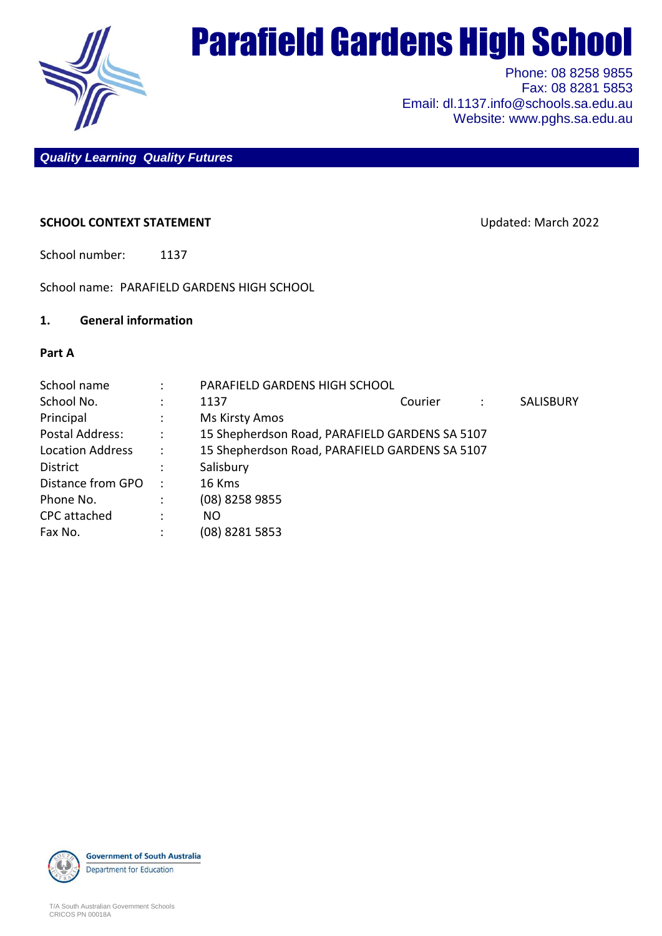

# Parafield Gardens High School

Phone: 08 8258 9855 Fax: 08 8281 5853 Email: dl.1137.info@schools.sa.edu.au Website: www.pghs.sa.edu.au

*Quality Learning Quality Futures*

## **SCHOOL CONTEXT STATEMENT EXECUTE:** Updated: March 2022

School number: 1137

School name: PARAFIELD GARDENS HIGH SCHOOL

#### **1. General information**

#### **Part A**

|                        | PARAFIELD GARDENS HIGH SCHOOL                  |         |   |                  |  |  |
|------------------------|------------------------------------------------|---------|---|------------------|--|--|
|                        | 1137                                           | Courier | ÷ | <b>SALISBURY</b> |  |  |
|                        | Ms Kirsty Amos                                 |         |   |                  |  |  |
| $\ddot{\phantom{0}}$ : | 15 Shepherdson Road, PARAFIELD GARDENS SA 5107 |         |   |                  |  |  |
| $\sim$ 1.              | 15 Shepherdson Road, PARAFIELD GARDENS SA 5107 |         |   |                  |  |  |
|                        | Salisbury                                      |         |   |                  |  |  |
| $\ddot{\phantom{1}}$   | 16 Kms                                         |         |   |                  |  |  |
|                        | (08) 8258 9855                                 |         |   |                  |  |  |
|                        | NO.                                            |         |   |                  |  |  |
|                        | (08) 8281 5853                                 |         |   |                  |  |  |
|                        |                                                |         |   |                  |  |  |

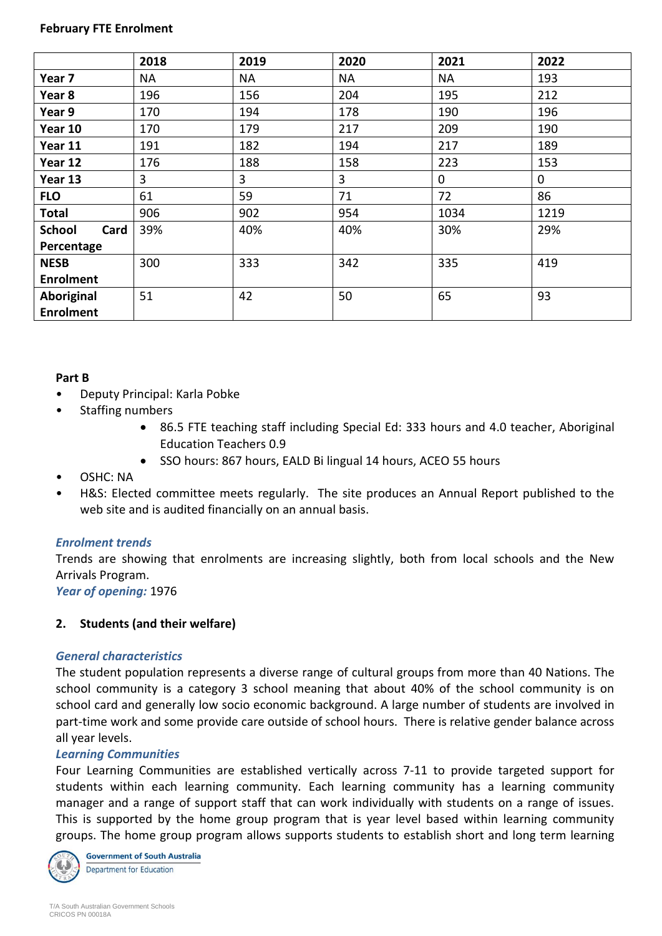#### **February FTE Enrolment**

|                       | 2018 | 2019      | 2020      | 2021        | 2022 |
|-----------------------|------|-----------|-----------|-------------|------|
| Year <sub>7</sub>     | ΝA   | <b>NA</b> | <b>NA</b> | <b>NA</b>   | 193  |
| Year 8                | 196  | 156       | 204       | 195         | 212  |
| Year 9                | 170  | 194       | 178       | 190         | 196  |
| Year 10               | 170  | 179       | 217       | 209         | 190  |
| Year 11               | 191  | 182       | 194       | 217         | 189  |
| Year 12               | 176  | 188       | 158       | 223         | 153  |
| Year 13               | 3    | 3         | 3         | $\mathbf 0$ | 0    |
| <b>FLO</b>            | 61   | 59        | 71        | 72          | 86   |
| <b>Total</b>          | 906  | 902       | 954       | 1034        | 1219 |
| <b>School</b><br>Card | 39%  | 40%       | 40%       | 30%         | 29%  |
| Percentage            |      |           |           |             |      |
| <b>NESB</b>           | 300  | 333       | 342       | 335         | 419  |
| <b>Enrolment</b>      |      |           |           |             |      |
| Aboriginal            | 51   | 42        | 50        | 65          | 93   |
| <b>Enrolment</b>      |      |           |           |             |      |

## **Part B**

- Deputy Principal: Karla Pobke
- Staffing numbers
	- 86.5 FTE teaching staff including Special Ed: 333 hours and 4.0 teacher, Aboriginal Education Teachers 0.9
	- SSO hours: 867 hours, EALD Bi lingual 14 hours, ACEO 55 hours

# • OSHC: NA

• H&S: Elected committee meets regularly. The site produces an Annual Report published to the web site and is audited financially on an annual basis.

# *Enrolment trends*

Trends are showing that enrolments are increasing slightly, both from local schools and the New Arrivals Program.

*Year of opening:* 1976

# **2. Students (and their welfare)**

## *General characteristics*

The student population represents a diverse range of cultural groups from more than 40 Nations. The school community is a category 3 school meaning that about 40% of the school community is on school card and generally low socio economic background. A large number of students are involved in part-time work and some provide care outside of school hours. There is relative gender balance across all year levels.

## *Learning Communities*

Four Learning Communities are established vertically across 7-11 to provide targeted support for students within each learning community. Each learning community has a learning community manager and a range of support staff that can work individually with students on a range of issues. This is supported by the home group program that is year level based within learning community groups. The home group program allows supports students to establish short and long term learning



**Government of South Australia Department for Education**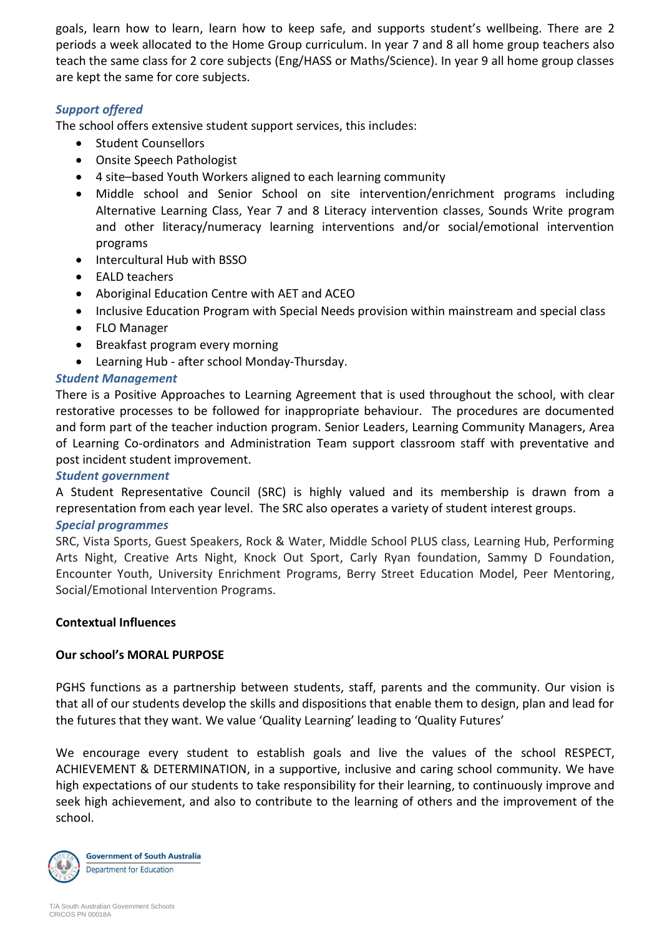goals, learn how to learn, learn how to keep safe, and supports student's wellbeing. There are 2 periods a week allocated to the Home Group curriculum. In year 7 and 8 all home group teachers also teach the same class for 2 core subjects (Eng/HASS or Maths/Science). In year 9 all home group classes are kept the same for core subjects.

# *Support offered*

The school offers extensive student support services, this includes:

- Student Counsellors
- Onsite Speech Pathologist
- 4 site–based Youth Workers aligned to each learning community
- Middle school and Senior School on site intervention/enrichment programs including Alternative Learning Class, Year 7 and 8 Literacy intervention classes, Sounds Write program and other literacy/numeracy learning interventions and/or social/emotional intervention programs
- Intercultural Hub with BSSO
- EALD teachers
- Aboriginal Education Centre with AET and ACEO
- Inclusive Education Program with Special Needs provision within mainstream and special class
- FLO Manager
- Breakfast program every morning
- Learning Hub after school Monday-Thursday.

# *Student Management*

There is a Positive Approaches to Learning Agreement that is used throughout the school, with clear restorative processes to be followed for inappropriate behaviour. The procedures are documented and form part of the teacher induction program. Senior Leaders, Learning Community Managers, Area of Learning Co-ordinators and Administration Team support classroom staff with preventative and post incident student improvement.

## *Student government*

A Student Representative Council (SRC) is highly valued and its membership is drawn from a representation from each year level. The SRC also operates a variety of student interest groups.

## *Special programmes*

SRC, Vista Sports, Guest Speakers, Rock & Water, Middle School PLUS class, Learning Hub, Performing Arts Night, Creative Arts Night, Knock Out Sport, Carly Ryan foundation, Sammy D Foundation, Encounter Youth, University Enrichment Programs, Berry Street Education Model, Peer Mentoring, Social/Emotional Intervention Programs.

## **Contextual Influences**

## **Our school's MORAL PURPOSE**

PGHS functions as a partnership between students, staff, parents and the community. Our vision is that all of our students develop the skills and dispositions that enable them to design, plan and lead for the futures that they want. We value 'Quality Learning' leading to 'Quality Futures'

We encourage every student to establish goals and live the values of the school RESPECT, ACHIEVEMENT & DETERMINATION, in a supportive, inclusive and caring school community. We have high expectations of our students to take responsibility for their learning, to continuously improve and seek high achievement, and also to contribute to the learning of others and the improvement of the school.

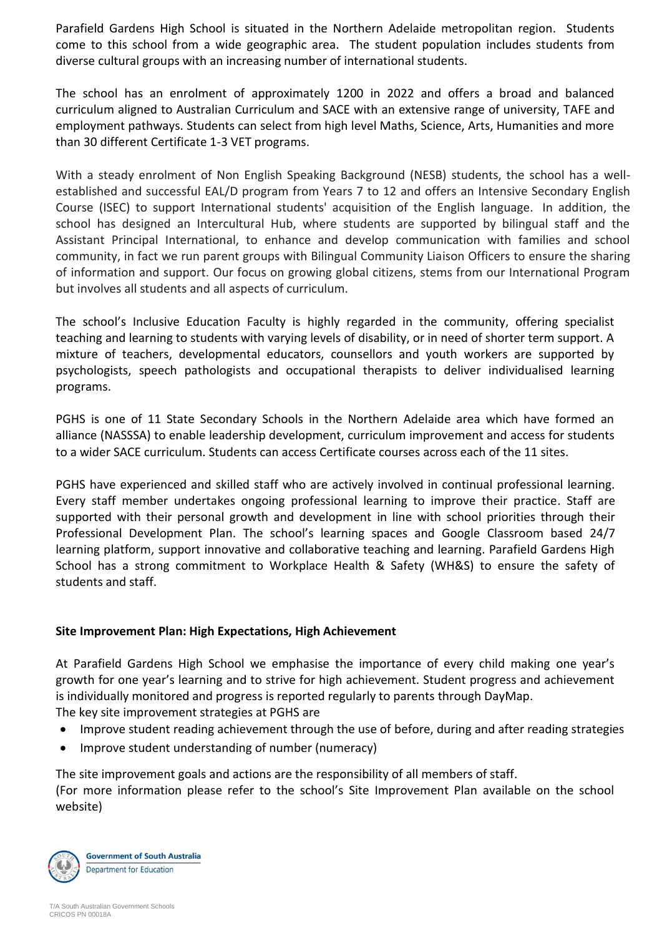Parafield Gardens High School is situated in the Northern Adelaide metropolitan region. Students come to this school from a wide geographic area. The student population includes students from diverse cultural groups with an increasing number of international students.

The school has an enrolment of approximately 1200 in 2022 and offers a broad and balanced curriculum aligned to Australian Curriculum and SACE with an extensive range of university, TAFE and employment pathways. Students can select from high level Maths, Science, Arts, Humanities and more than 30 different Certificate 1-3 VET programs.

With a steady enrolment of Non English Speaking Background (NESB) students, the school has a wellestablished and successful EAL/D program from Years 7 to 12 and offers an Intensive Secondary English Course (ISEC) to support International students' acquisition of the English language. In addition, the school has designed an Intercultural Hub, where students are supported by bilingual staff and the Assistant Principal International, to enhance and develop communication with families and school community, in fact we run parent groups with Bilingual Community Liaison Officers to ensure the sharing of information and support. Our focus on growing global citizens, stems from our International Program but involves all students and all aspects of curriculum.

The school's Inclusive Education Faculty is highly regarded in the community, offering specialist teaching and learning to students with varying levels of disability, or in need of shorter term support. A mixture of teachers, developmental educators, counsellors and youth workers are supported by psychologists, speech pathologists and occupational therapists to deliver individualised learning programs.

PGHS is one of 11 State Secondary Schools in the Northern Adelaide area which have formed an alliance (NASSSA) to enable leadership development, curriculum improvement and access for students to a wider SACE curriculum. Students can access Certificate courses across each of the 11 sites.

PGHS have experienced and skilled staff who are actively involved in continual professional learning. Every staff member undertakes ongoing professional learning to improve their practice. Staff are supported with their personal growth and development in line with school priorities through their Professional Development Plan. The school's learning spaces and Google Classroom based 24/7 learning platform, support innovative and collaborative teaching and learning. Parafield Gardens High School has a strong commitment to Workplace Health & Safety (WH&S) to ensure the safety of students and staff.

# **Site Improvement Plan: High Expectations, High Achievement**

At Parafield Gardens High School we emphasise the importance of every child making one year's growth for one year's learning and to strive for high achievement. Student progress and achievement is individually monitored and progress is reported regularly to parents through DayMap. The key site improvement strategies at PGHS are

- Improve student reading achievement through the use of before, during and after reading strategies
- Improve student understanding of number (numeracy)

The site improvement goals and actions are the responsibility of all members of staff. (For more information please refer to the school's Site Improvement Plan available on the school website)

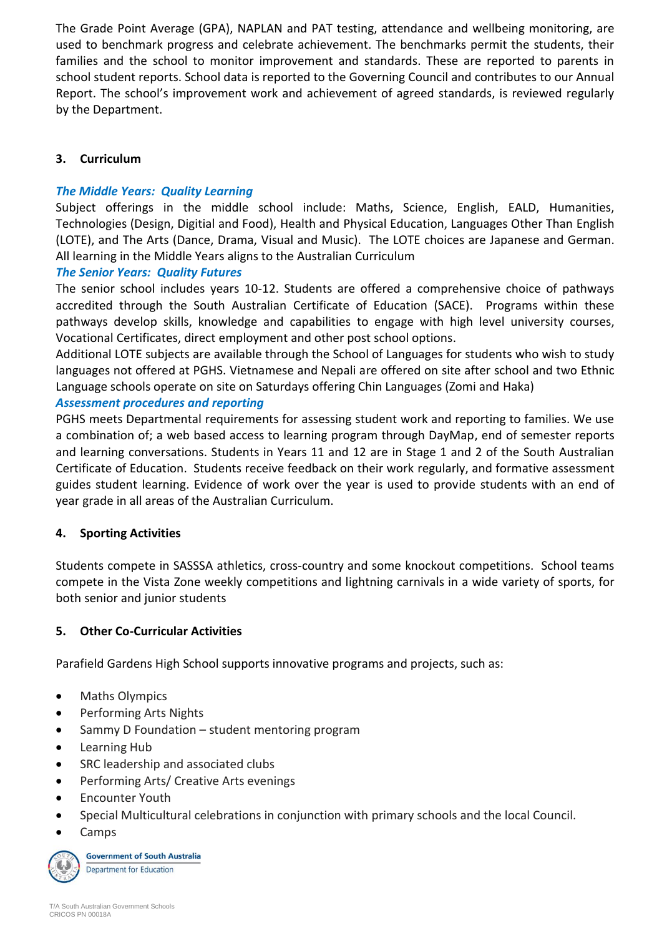The Grade Point Average (GPA), NAPLAN and PAT testing, attendance and wellbeing monitoring, are used to benchmark progress and celebrate achievement. The benchmarks permit the students, their families and the school to monitor improvement and standards. These are reported to parents in school student reports. School data is reported to the Governing Council and contributes to our Annual Report. The school's improvement work and achievement of agreed standards, is reviewed regularly by the Department.

# **3. Curriculum**

# *The Middle Years: Quality Learning*

Subject offerings in the middle school include: Maths, Science, English, EALD, Humanities, Technologies (Design, Digitial and Food), Health and Physical Education, Languages Other Than English (LOTE), and The Arts (Dance, Drama, Visual and Music). The LOTE choices are Japanese and German. All learning in the Middle Years aligns to the Australian Curriculum

# *The Senior Years: Quality Futures*

The senior school includes years 10-12. Students are offered a comprehensive choice of pathways accredited through the South Australian Certificate of Education (SACE). Programs within these pathways develop skills, knowledge and capabilities to engage with high level university courses, Vocational Certificates, direct employment and other post school options.

Additional LOTE subjects are available through the School of Languages for students who wish to study languages not offered at PGHS. Vietnamese and Nepali are offered on site after school and two Ethnic Language schools operate on site on Saturdays offering Chin Languages (Zomi and Haka)

# *Assessment procedures and reporting*

PGHS meets Departmental requirements for assessing student work and reporting to families. We use a combination of; a web based access to learning program through DayMap, end of semester reports and learning conversations. Students in Years 11 and 12 are in Stage 1 and 2 of the South Australian Certificate of Education. Students receive feedback on their work regularly, and formative assessment guides student learning. Evidence of work over the year is used to provide students with an end of year grade in all areas of the Australian Curriculum.

# **4. Sporting Activities**

Students compete in SASSSA athletics, cross-country and some knockout competitions. School teams compete in the Vista Zone weekly competitions and lightning carnivals in a wide variety of sports, for both senior and junior students

# **5. Other Co-Curricular Activities**

Parafield Gardens High School supports innovative programs and projects, such as:

- Maths Olympics
- Performing Arts Nights
- Sammy D Foundation student mentoring program
- Learning Hub
- SRC leadership and associated clubs
- Performing Arts/ Creative Arts evenings
- Encounter Youth
- Special Multicultural celebrations in conjunction with primary schools and the local Council.
- Camps

**Government of South Australia Department for Education**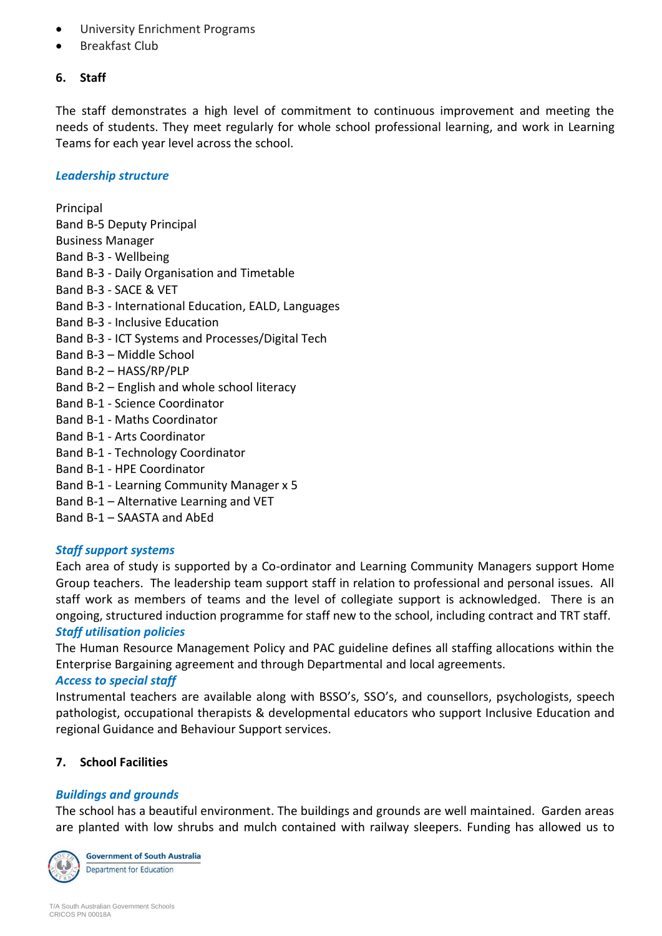- University Enrichment Programs
- Breakfast Club

#### **6. Staff**

The staff demonstrates a high level of commitment to continuous improvement and meeting the needs of students. They meet regularly for whole school professional learning, and work in Learning Teams for each year level across the school.

#### *Leadership structure*

Principal Band B-5 Deputy Principal Business Manager Band B-3 - Wellbeing Band B-3 - Daily Organisation and Timetable Band B-3 - SACE & VET Band B-3 - International Education, EALD, Languages Band B-3 - Inclusive Education Band B-3 - ICT Systems and Processes/Digital Tech Band B-3 – Middle School Band B-2 – HASS/RP/PLP Band B-2 – English and whole school literacy Band B-1 - Science Coordinator Band B-1 - Maths Coordinator Band B-1 - Arts Coordinator Band B-1 - Technology Coordinator Band B-1 - HPE Coordinator Band B-1 - Learning Community Manager x 5 Band B-1 – Alternative Learning and VET

Band B-1 – SAASTA and AbEd

## *Staff support systems*

Each area of study is supported by a Co-ordinator and Learning Community Managers support Home Group teachers. The leadership team support staff in relation to professional and personal issues. All staff work as members of teams and the level of collegiate support is acknowledged. There is an ongoing, structured induction programme for staff new to the school, including contract and TRT staff. *Staff utilisation policies*

The Human Resource Management Policy and PAC guideline defines all staffing allocations within the Enterprise Bargaining agreement and through Departmental and local agreements.

## *Access to special staff*

Instrumental teachers are available along with BSSO's, SSO's, and counsellors, psychologists, speech pathologist, occupational therapists & developmental educators who support Inclusive Education and regional Guidance and Behaviour Support services.

## **7. School Facilities**

## *Buildings and grounds*

The school has a beautiful environment. The buildings and grounds are well maintained. Garden areas are planted with low shrubs and mulch contained with railway sleepers. Funding has allowed us to



**Government of South Australia** Department for Education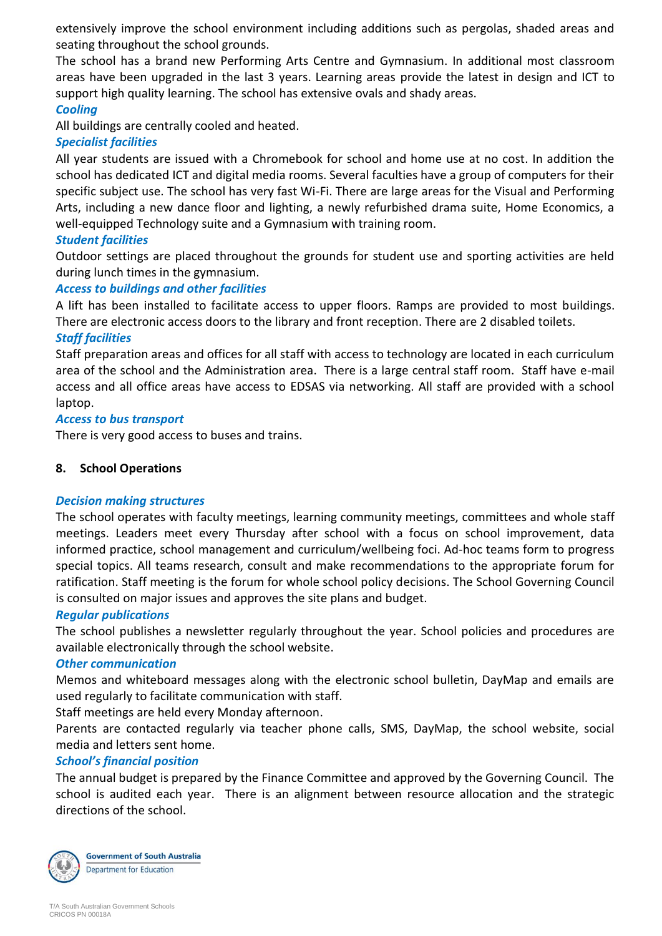extensively improve the school environment including additions such as pergolas, shaded areas and seating throughout the school grounds.

The school has a brand new Performing Arts Centre and Gymnasium. In additional most classroom areas have been upgraded in the last 3 years. Learning areas provide the latest in design and ICT to support high quality learning. The school has extensive ovals and shady areas.

# *Cooling*

All buildings are centrally cooled and heated.

## *Specialist facilities*

All year students are issued with a Chromebook for school and home use at no cost. In addition the school has dedicated ICT and digital media rooms. Several faculties have a group of computers for their specific subject use. The school has very fast Wi-Fi. There are large areas for the Visual and Performing Arts, including a new dance floor and lighting, a newly refurbished drama suite, Home Economics, a well-equipped Technology suite and a Gymnasium with training room.

## *Student facilities*

Outdoor settings are placed throughout the grounds for student use and sporting activities are held during lunch times in the gymnasium.

# *Access to buildings and other facilities*

A lift has been installed to facilitate access to upper floors. Ramps are provided to most buildings. There are electronic access doors to the library and front reception. There are 2 disabled toilets.

# *Staff facilities*

Staff preparation areas and offices for all staff with access to technology are located in each curriculum area of the school and the Administration area. There is a large central staff room. Staff have e-mail access and all office areas have access to EDSAS via networking. All staff are provided with a school laptop.

## *Access to bus transport*

There is very good access to buses and trains.

## **8. School Operations**

## *Decision making structures*

The school operates with faculty meetings, learning community meetings, committees and whole staff meetings. Leaders meet every Thursday after school with a focus on school improvement, data informed practice, school management and curriculum/wellbeing foci. Ad-hoc teams form to progress special topics. All teams research, consult and make recommendations to the appropriate forum for ratification. Staff meeting is the forum for whole school policy decisions. The School Governing Council is consulted on major issues and approves the site plans and budget.

## *Regular publications*

The school publishes a newsletter regularly throughout the year. School policies and procedures are available electronically through the school website.

## *Other communication*

Memos and whiteboard messages along with the electronic school bulletin, DayMap and emails are used regularly to facilitate communication with staff.

Staff meetings are held every Monday afternoon.

Parents are contacted regularly via teacher phone calls, SMS, DayMap, the school website, social media and letters sent home.

## *School's financial position*

The annual budget is prepared by the Finance Committee and approved by the Governing Council. The school is audited each year. There is an alignment between resource allocation and the strategic directions of the school.